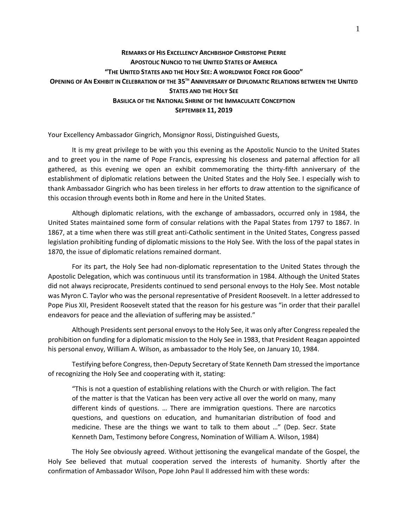## **REMARKS OF HIS EXCELLENCY ARCHBISHOP CHRISTOPHE PIERRE APOSTOLIC NUNCIO TO THE UNITED STATES OF AMERICA "THE UNITED STATES AND THE HOLY SEE: A WORLDWIDE FORCE FOR GOOD"** OPENING OF AN EXHIBIT IN CELEBRATION OF THE 35TH ANNIVERSARY OF DIPLOMATIC RELATIONS BETWEEN THE UNITED **STATES AND THE HOLY SEE BASILICA OF THE NATIONAL SHRINE OF THE IMMACULATE CONCEPTION SEPTEMBER 11, 2019**

Your Excellency Ambassador Gingrich, Monsignor Rossi, Distinguished Guests,

It is my great privilege to be with you this evening as the Apostolic Nuncio to the United States and to greet you in the name of Pope Francis, expressing his closeness and paternal affection for all gathered, as this evening we open an exhibit commemorating the thirty-fifth anniversary of the establishment of diplomatic relations between the United States and the Holy See. I especially wish to thank Ambassador Gingrich who has been tireless in her efforts to draw attention to the significance of this occasion through events both in Rome and here in the United States.

Although diplomatic relations, with the exchange of ambassadors, occurred only in 1984, the United States maintained some form of consular relations with the Papal States from 1797 to 1867. In 1867, at a time when there was still great anti-Catholic sentiment in the United States, Congress passed legislation prohibiting funding of diplomatic missions to the Holy See. With the loss of the papal states in 1870, the issue of diplomatic relations remained dormant.

For its part, the Holy See had non-diplomatic representation to the United States through the Apostolic Delegation, which was continuous until its transformation in 1984. Although the United States did not always reciprocate, Presidents continued to send personal envoys to the Holy See. Most notable was Myron C. Taylor who was the personal representative of President Roosevelt. In a letter addressed to Pope Pius XII, President Roosevelt stated that the reason for his gesture was "in order that their parallel endeavors for peace and the alleviation of suffering may be assisted."

Although Presidents sent personal envoys to the Holy See, it was only after Congress repealed the prohibition on funding for a diplomatic mission to the Holy See in 1983, that President Reagan appointed his personal envoy, William A. Wilson, as ambassador to the Holy See, on January 10, 1984.

Testifying before Congress, then-Deputy Secretary of State Kenneth Dam stressed the importance of recognizing the Holy See and cooperating with it, stating:

"This is not a question of establishing relations with the Church or with religion. The fact of the matter is that the Vatican has been very active all over the world on many, many different kinds of questions. … There are immigration questions. There are narcotics questions, and questions on education, and humanitarian distribution of food and medicine. These are the things we want to talk to them about …" (Dep. Secr. State Kenneth Dam, Testimony before Congress, Nomination of William A. Wilson, 1984)

The Holy See obviously agreed. Without jettisoning the evangelical mandate of the Gospel, the Holy See believed that mutual cooperation served the interests of humanity. Shortly after the confirmation of Ambassador Wilson, Pope John Paul II addressed him with these words: